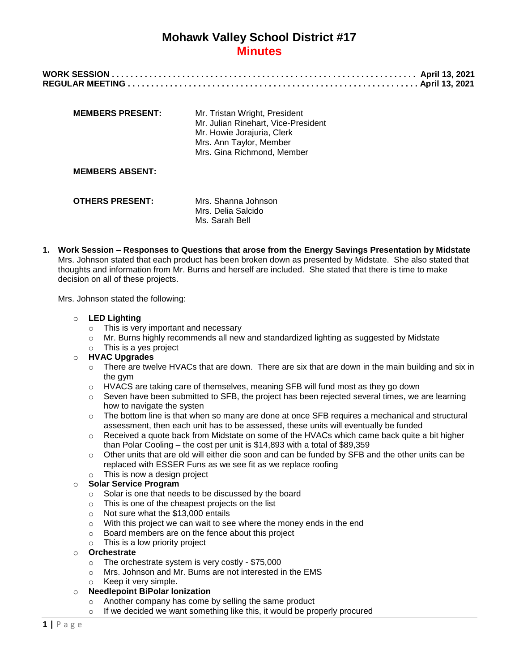| <b>MEMBERS PRESENT:</b> | Mr. Tristan Wright, President<br>Mr. Julian Rinehart, Vice-President<br>Mr. Howie Jorajuria, Clerk<br>Mrs. Ann Taylor, Member<br>Mrs. Gina Richmond, Member |
|-------------------------|-------------------------------------------------------------------------------------------------------------------------------------------------------------|
| <b>MEMBERS ABSENT:</b>  |                                                                                                                                                             |
| <b>OTHERS PRESENT:</b>  | Mrs. Shanna Johnson<br>Mrs. Delia Salcido                                                                                                                   |

**1. Work Session – Responses to Questions that arose from the Energy Savings Presentation by Midstate**  Mrs. Johnson stated that each product has been broken down as presented by Midstate. She also stated that thoughts and information from Mr. Burns and herself are included. She stated that there is time to make decision on all of these projects.

Ms. Sarah Bell

Mrs. Johnson stated the following:

- o **LED Lighting**
	- o This is very important and necessary
	- o Mr. Burns highly recommends all new and standardized lighting as suggested by Midstate
	- o This is a yes project

## o **HVAC Upgrades**

- $\circ$  There are twelve HVACs that are down. There are six that are down in the main building and six in the gym
- o HVACS are taking care of themselves, meaning SFB will fund most as they go down
- $\circ$  Seven have been submitted to SFB, the project has been rejected several times, we are learning how to navigate the systen
- $\circ$  The bottom line is that when so many are done at once SFB requires a mechanical and structural assessment, then each unit has to be assessed, these units will eventually be funded
- $\circ$  Received a quote back from Midstate on some of the HVACs which came back quite a bit higher than Polar Cooling – the cost per unit is \$14,893 with a total of \$89,359
- $\circ$  Other units that are old will either die soon and can be funded by SFB and the other units can be replaced with ESSER Funs as we see fit as we replace roofing
- This is now a design project

#### o **Solar Service Program**

- o Solar is one that needs to be discussed by the board
- o This is one of the cheapest projects on the list
- o Not sure what the \$13,000 entails
- o With this project we can wait to see where the money ends in the end
- o Board members are on the fence about this project
- $\circ$  This is a low priority project

### o **Orchestrate**

- o The orchestrate system is very costly \$75,000
- o Mrs. Johnson and Mr. Burns are not interested in the EMS
- o Keep it very simple.

## o **Needlepoint BiPolar Ionization**

- o Another company has come by selling the same product
- o If we decided we want something like this, it would be properly procured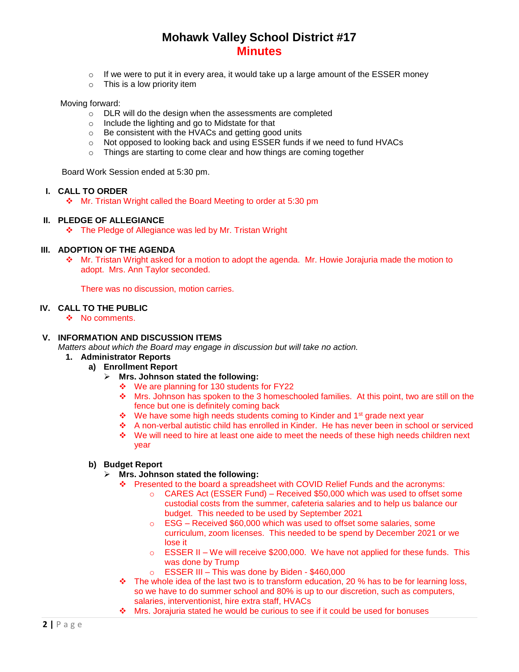- $\circ$  If we were to put it in every area, it would take up a large amount of the ESSER money
- o This is a low priority item

#### Moving forward:

- o DLR will do the design when the assessments are completed
- Include the lighting and go to Midstate for that
- o Be consistent with the HVACs and getting good units
- o Not opposed to looking back and using ESSER funds if we need to fund HVACs
- o Things are starting to come clear and how things are coming together

Board Work Session ended at 5:30 pm.

### **I. CALL TO ORDER**

Mr. Tristan Wright called the Board Meeting to order at 5:30 pm

## **II. PLEDGE OF ALLEGIANCE**

The Pledge of Allegiance was led by Mr. Tristan Wright

## **III. ADOPTION OF THE AGENDA**

 Mr. Tristan Wright asked for a motion to adopt the agenda. Mr. Howie Jorajuria made the motion to adopt. Mrs. Ann Taylor seconded.

There was no discussion, motion carries.

#### **IV. CALL TO THE PUBLIC**

❖ No comments.

## **V. INFORMATION AND DISCUSSION ITEMS**

*Matters about which the Board may engage in discussion but will take no action.*

- **1. Administrator Reports**
	- **a) Enrollment Report**
		- **Mrs. Johnson stated the following:**
			- ❖ We are planning for 130 students for FY22
			- Mrs. Johnson has spoken to the 3 homeschooled families. At this point, two are still on the fence but one is definitely coming back
			- ◆ We have some high needs students coming to Kinder and 1<sup>st</sup> grade next year
			- A non-verbal autistic child has enrolled in Kinder. He has never been in school or serviced
			- We will need to hire at least one aide to meet the needs of these high needs children next year

## **b) Budget Report**

#### **Mrs. Johnson stated the following:**

- Presented to the board a spreadsheet with COVID Relief Funds and the acronyms:
	- o CARES Act (ESSER Fund) Received \$50,000 which was used to offset some custodial costs from the summer, cafeteria salaries and to help us balance our budget. This needed to be used by September 2021
	- o ESG Received \$60,000 which was used to offset some salaries, some curriculum, zoom licenses. This needed to be spend by December 2021 or we lose it
	- $\circ$  ESSER II We will receive \$200,000. We have not applied for these funds. This was done by Trump
	- o ESSER III This was done by Biden \$460,000
- $\div$  The whole idea of the last two is to transform education, 20 % has to be for learning loss, so we have to do summer school and 80% is up to our discretion, such as computers, salaries, interventionist, hire extra staff, HVACs
- $\div$  Mrs. Jorajuria stated he would be curious to see if it could be used for bonuses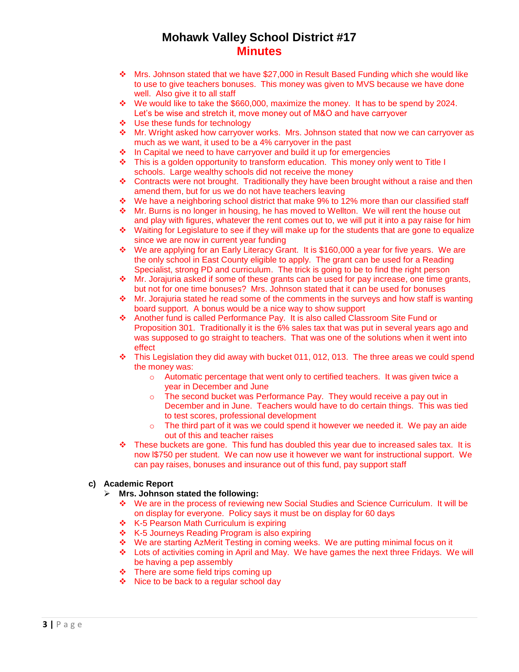- Mrs. Johnson stated that we have \$27,000 in Result Based Funding which she would like to use to give teachers bonuses. This money was given to MVS because we have done well. Also give it to all staff
- We would like to take the \$660,000, maximize the money. It has to be spend by 2024. Let's be wise and stretch it, move money out of M&O and have carryover
- ❖ Use these funds for technology
- $\cdot \cdot$  Mr. Wright asked how carryover works. Mrs. Johnson stated that now we can carryover as much as we want, it used to be a 4% carryover in the past
- $\cdot$  In Capital we need to have carryover and build it up for emergencies
- $\div$  This is a golden opportunity to transform education. This money only went to Title I schools. Large wealthy schools did not receive the money
- $\div$  Contracts were not brought. Traditionally they have been brought without a raise and then amend them, but for us we do not have teachers leaving
- $\cdot$  We have a neighboring school district that make 9% to 12% more than our classified staff
- $\div$  Mr. Burns is no longer in housing, he has moved to Wellton. We will rent the house out and play with figures, whatever the rent comes out to, we will put it into a pay raise for him
- $\div$  Waiting for Legislature to see if they will make up for the students that are gone to equalize since we are now in current year funding
- We are applying for an Early Literacy Grant. It is \$160,000 a year for five years. We are the only school in East County eligible to apply. The grant can be used for a Reading Specialist, strong PD and curriculum. The trick is going to be to find the right person
- $\cdot$  Mr. Jorajuria asked if some of these grants can be used for pay increase, one time grants, but not for one time bonuses? Mrs. Johnson stated that it can be used for bonuses
- $\cdot \cdot$  Mr. Jorajuria stated he read some of the comments in the surveys and how staff is wanting board support. A bonus would be a nice way to show support
- Another fund is called Performance Pay. It is also called Classroom Site Fund or Proposition 301. Traditionally it is the 6% sales tax that was put in several years ago and was supposed to go straight to teachers. That was one of the solutions when it went into effect
- $\cdot \cdot$  This Legislation they did away with bucket 011, 012, 013. The three areas we could spend the money was:
	- o Automatic percentage that went only to certified teachers. It was given twice a year in December and June
	- o The second bucket was Performance Pay. They would receive a pay out in December and in June. Teachers would have to do certain things. This was tied to test scores, professional development
	- $\circ$  The third part of it was we could spend it however we needed it. We pay an aide out of this and teacher raises
- $\div$  These buckets are gone. This fund has doubled this year due to increased sales tax. It is now l\$750 per student. We can now use it however we want for instructional support. We can pay raises, bonuses and insurance out of this fund, pay support staff

#### **c) Academic Report**

- **Mrs. Johnson stated the following:**
	- We are in the process of reviewing new Social Studies and Science Curriculum. It will be on display for everyone. Policy says it must be on display for 60 days
	- ❖ K-5 Pearson Math Curriculum is expiring
	- K-5 Journeys Reading Program is also expiring
	- We are starting AzMerit Testing in coming weeks. We are putting minimal focus on it
	- Lots of activities coming in April and May. We have games the next three Fridays. We will be having a pep assembly
	- $\div$  There are some field trips coming up
	- $\div$  Nice to be back to a regular school day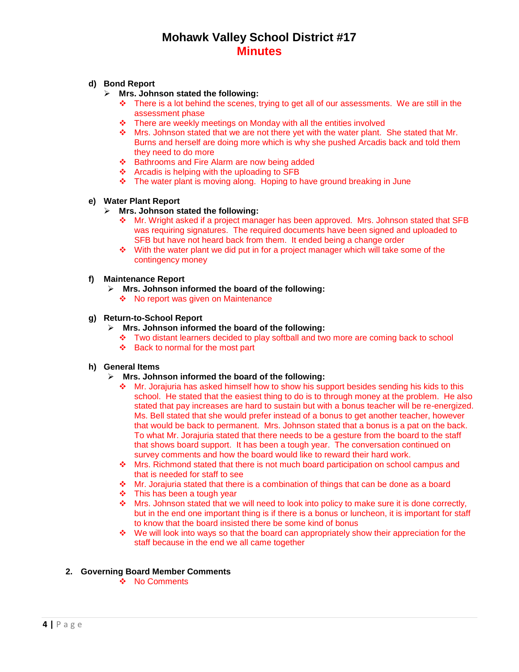## **d) Bond Report**

- **Mrs. Johnson stated the following:**
	- $\div$  There is a lot behind the scenes, trying to get all of our assessments. We are still in the assessment phase
	- \* There are weekly meetings on Monday with all the entities involved
	- $\cdot \cdot$  Mrs. Johnson stated that we are not there yet with the water plant. She stated that Mr. Burns and herself are doing more which is why she pushed Arcadis back and told them they need to do more
	- ❖ Bathrooms and Fire Alarm are now being added
	- $\div$  Arcadis is helping with the uploading to SFB
	- The water plant is moving along. Hoping to have ground breaking in June

### **e) Water Plant Report**

### **Mrs. Johnson stated the following:**

- Mr. Wright asked if a project manager has been approved. Mrs. Johnson stated that SFB was requiring signatures. The required documents have been signed and uploaded to SFB but have not heard back from them. It ended being a change order
- $\cdot$  With the water plant we did put in for a project manager which will take some of the contingency money

#### **f) Maintenance Report**

- **Mrs. Johnson informed the board of the following:**
	- ❖ No report was given on Maintenance

#### **g) Return-to-School Report**

- **Mrs. Johnson informed the board of the following:**
	- Two distant learners decided to play softball and two more are coming back to school
	- $\div$  Back to normal for the most part

#### **h) General Items**

- **Mrs. Johnson informed the board of the following:**
	- $\div$  Mr. Jorajuria has asked himself how to show his support besides sending his kids to this school. He stated that the easiest thing to do is to through money at the problem. He also stated that pay increases are hard to sustain but with a bonus teacher will be re-energized. Ms. Bell stated that she would prefer instead of a bonus to get another teacher, however that would be back to permanent. Mrs. Johnson stated that a bonus is a pat on the back. To what Mr. Jorajuria stated that there needs to be a gesture from the board to the staff that shows board support. It has been a tough year. The conversation continued on survey comments and how the board would like to reward their hard work.
	- Mrs. Richmond stated that there is not much board participation on school campus and that is needed for staff to see
	- $\cdot \cdot$  Mr. Jorajuria stated that there is a combination of things that can be done as a board
	- This has been a tough year
	- \* Mrs. Johnson stated that we will need to look into policy to make sure it is done correctly, but in the end one important thing is if there is a bonus or luncheon, it is important for staff to know that the board insisted there be some kind of bonus
	- \* We will look into ways so that the board can appropriately show their appreciation for the staff because in the end we all came together

## **2. Governing Board Member Comments**

❖ No Comments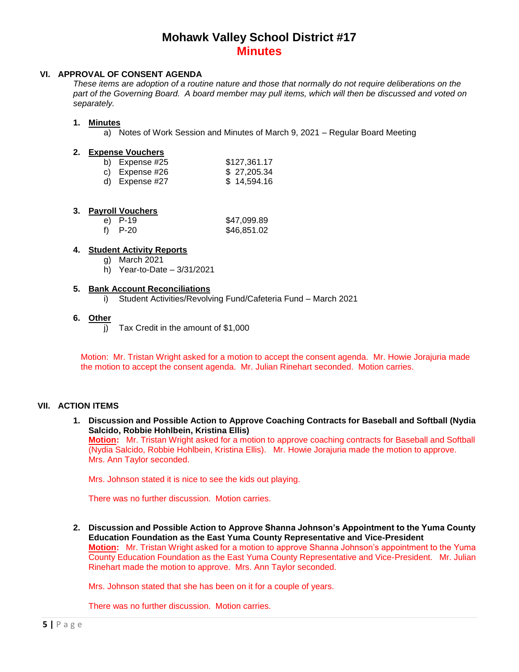## **VI. APPROVAL OF CONSENT AGENDA**

*These items are adoption of a routine nature and those that normally do not require deliberations on the part of the Governing Board. A board member may pull items, which will then be discussed and voted on separately.*

## **1. Minutes**

a) Notes of Work Session and Minutes of March 9, 2021 – Regular Board Meeting

#### **2. Expense Vouchers**

| b) Expense #25   | \$127,361.17 |
|------------------|--------------|
| c) Expense #26   | \$27,205.34  |
| d) Expense $#27$ | \$14,594.16  |

### **3. Payroll Vouchers**

| e) P-19 | \$47,099.89 |
|---------|-------------|
| f) P-20 | \$46,851.02 |

## **4. Student Activity Reports**

- g) March 2021
- h) Year-to-Date 3/31/2021

### **5. Bank Account Reconciliations**

i) Student Activities/Revolving Fund/Cafeteria Fund – March 2021

### **6. Other**

 $\overline{p}$  Tax Credit in the amount of \$1,000

Motion: Mr. Tristan Wright asked for a motion to accept the consent agenda. Mr. Howie Jorajuria made the motion to accept the consent agenda. Mr. Julian Rinehart seconded. Motion carries.

## **VII. ACTION ITEMS**

**1. Discussion and Possible Action to Approve Coaching Contracts for Baseball and Softball (Nydia Salcido, Robbie Hohlbein, Kristina Ellis)**

**Motion:** Mr. Tristan Wright asked for a motion to approve coaching contracts for Baseball and Softball (Nydia Salcido, Robbie Hohlbein, Kristina Ellis). Mr. Howie Jorajuria made the motion to approve. Mrs. Ann Taylor seconded.

Mrs. Johnson stated it is nice to see the kids out playing.

There was no further discussion. Motion carries.

**2. Discussion and Possible Action to Approve Shanna Johnson's Appointment to the Yuma County Education Foundation as the East Yuma County Representative and Vice-President Motion:** Mr. Tristan Wright asked for a motion to approve Shanna Johnson's appointment to the Yuma County Education Foundation as the East Yuma County Representative and Vice-President. Mr. Julian Rinehart made the motion to approve. Mrs. Ann Taylor seconded.

Mrs. Johnson stated that she has been on it for a couple of years.

There was no further discussion. Motion carries.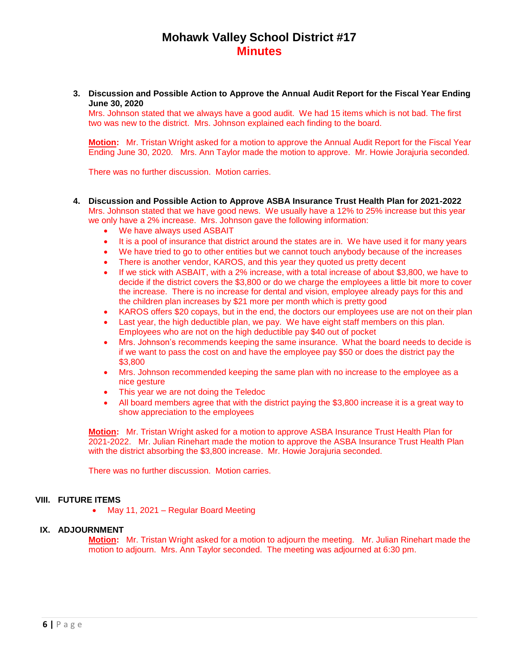**3. Discussion and Possible Action to Approve the Annual Audit Report for the Fiscal Year Ending June 30, 2020**

Mrs. Johnson stated that we always have a good audit. We had 15 items which is not bad. The first two was new to the district. Mrs. Johnson explained each finding to the board.

**Motion:** Mr. Tristan Wright asked for a motion to approve the Annual Audit Report for the Fiscal Year Ending June 30, 2020. Mrs. Ann Taylor made the motion to approve. Mr. Howie Jorajuria seconded.

There was no further discussion. Motion carries.

- **4. Discussion and Possible Action to Approve ASBA Insurance Trust Health Plan for 2021-2022** Mrs. Johnson stated that we have good news. We usually have a 12% to 25% increase but this year we only have a 2% increase. Mrs. Johnson gave the following information:
	- We have always used ASBAIT
	- It is a pool of insurance that district around the states are in. We have used it for many years
	- We have tried to go to other entities but we cannot touch anybody because of the increases
	- There is another vendor, KAROS, and this year they quoted us pretty decent
	- If we stick with ASBAIT, with a 2% increase, with a total increase of about \$3,800, we have to decide if the district covers the \$3,800 or do we charge the employees a little bit more to cover the increase. There is no increase for dental and vision, employee already pays for this and the children plan increases by \$21 more per month which is pretty good
	- KAROS offers \$20 copays, but in the end, the doctors our employees use are not on their plan
	- Last year, the high deductible plan, we pay. We have eight staff members on this plan. Employees who are not on the high deductible pay \$40 out of pocket
	- Mrs. Johnson's recommends keeping the same insurance. What the board needs to decide is if we want to pass the cost on and have the employee pay \$50 or does the district pay the \$3,800
	- Mrs. Johnson recommended keeping the same plan with no increase to the employee as a nice gesture
	- This year we are not doing the Teledoc
	- All board members agree that with the district paying the \$3,800 increase it is a great way to show appreciation to the employees

**Motion:** Mr. Tristan Wright asked for a motion to approve ASBA Insurance Trust Health Plan for 2021-2022. Mr. Julian Rinehart made the motion to approve the ASBA Insurance Trust Health Plan with the district absorbing the \$3,800 increase. Mr. Howie Jorajuria seconded.

There was no further discussion. Motion carries.

#### **VIII. FUTURE ITEMS**

• May 11, 2021 – Regular Board Meeting

#### **IX. ADJOURNMENT**

**Motion:** Mr. Tristan Wright asked for a motion to adjourn the meeting. Mr. Julian Rinehart made the motion to adjourn. Mrs. Ann Taylor seconded. The meeting was adjourned at 6:30 pm.